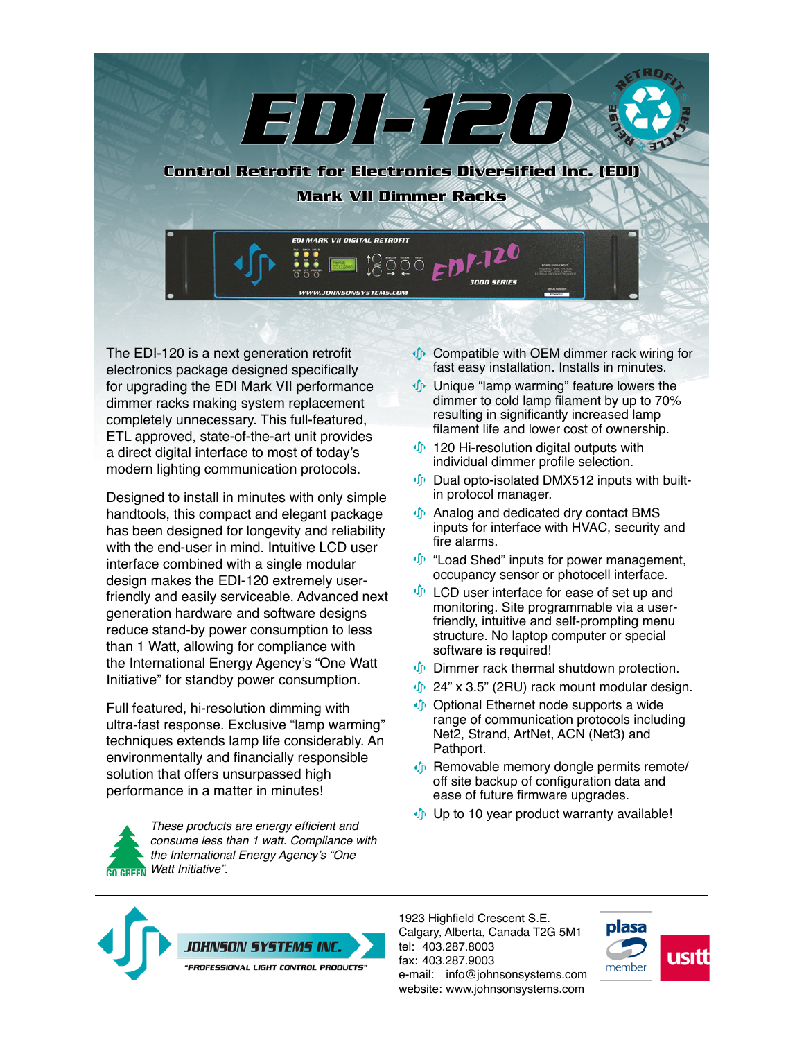

The EDI-120 is a next generation retrofit electronics package designed specifically for upgrading the EDI Mark VII performance dimmer racks making system replacement completely unnecessary. This full-featured, ETL approved, state-of-the-art unit provides a direct digital interface to most of today's modern lighting communication protocols.

Designed to install in minutes with only simple handtools, this compact and elegant package has been designed for longevity and reliability with the end-user in mind. Intuitive LCD user interface combined with a single modular design makes the EDI-120 extremely userfriendly and easily serviceable. Advanced next generation hardware and software designs reduce stand-by power consumption to less than 1 Watt, allowing for compliance with the International Energy Agency's "One Watt Initiative" for standby power consumption.

Full featured, hi-resolution dimming with ultra-fast response. Exclusive "lamp warming" techniques extends lamp life considerably. An environmentally and financially responsible solution that offers unsurpassed high performance in a matter in minutes!

These products are energy efficient and consume less than 1 watt. Compliance with the International Energy Agency's "One Watt Initiative". **CO GREEN** 

- **Compatible with OEM dimmer rack wiring for** fast easy installation. Installs in minutes.
- **Unique "lamp warming" feature lowers the** dimmer to cold lamp filament by up to 70% resulting in significantly increased lamp filament life and lower cost of ownership.
- **120 Hi-resolution digital outputs with** individual dimmer profile selection.
- $\oint$  Dual opto-isolated DMX512 inputs with builtin protocol manager.
- **In** Analog and dedicated dry contact BMS inputs for interface with HVAC, security and fire alarms.
- $\mathbf{\Phi}$  "Load Shed" inputs for power management, occupancy sensor or photocell interface.
- $\mathbf{\Phi}$  LCD user interface for ease of set up and monitoring. Site programmable via a userfriendly, intuitive and self-prompting menu structure. No laptop computer or special software is required!
- **D** Dimmer rack thermal shutdown protection.
- $\psi$  24" x 3.5" (2RU) rack mount modular design.
- Optional Ethernet node supports a wide range of communication protocols including Net2, Strand, ArtNet, ACN (Net3) and Pathport.
- Removable memory dongle permits remote/ off site backup of configuration data and ease of future firmware upgrades.
- $\psi$  Up to 10 year product warranty available!



1923 Highfield Crescent S.E. Calgary, Alberta, Canada T2G 5M1 tel: 403.287.8003 fax: 403.287.9003 e-mail: info@johnsonsystems.com website: www.johnsonsystems.com